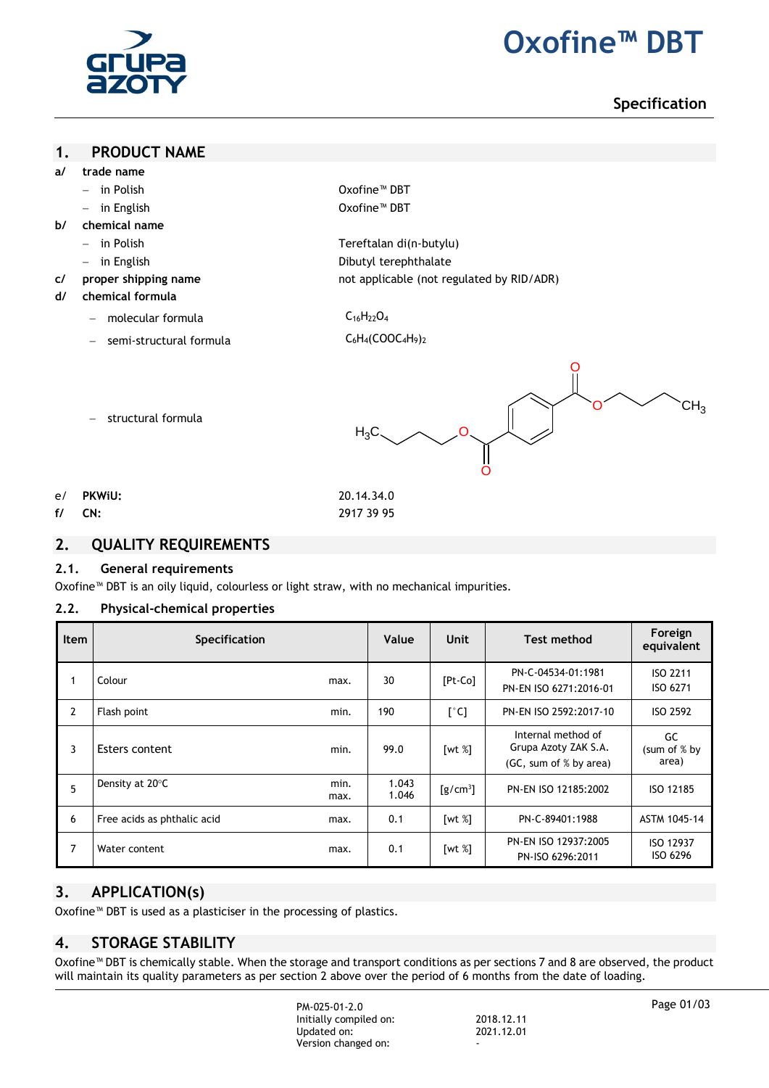

# **2. Oxofine™ DBT**

# **Specification**

#### **1. PRODUCT NAME**

- **a/ trade name**
	- in Polish Oxofine™ DBT
	- in English Oxofine™ DBT
- **b/ chemical name**
	- in Polish Tereftalan di(n-butylu)
	- in English **Dibutyl** terephthalate
- **c/ proper shipping name** not applicable (not regulated by RID/ADR)
- **d/ chemical formula**
	- molecular formula  $C_{16}H_{22}O_4$

- structural formula

semi-structural formula C<sub>6</sub>H<sub>4</sub>(COOC<sub>4</sub>H<sub>9</sub>)<sub>2</sub>

- - - O O O O  $CH<sub>3</sub>$  $H_3C$
- 
- e/ **PKWiU:** 20.14.34.0

**f/ CN:** 2917 39 95

#### **2. QUALITY REQUIREMENTS**

#### **2.1. General requirements**

Oxofine™ DBT is an oily liquid, colourless or light straw, with no mechanical impurities.

#### **2.2. Physical-chemical properties**

| <b>Item</b>    | <b>Specification</b>        |              | Value          | Unit                                        | <b>Test method</b>                                                   | Foreign<br>equivalent        |
|----------------|-----------------------------|--------------|----------------|---------------------------------------------|----------------------------------------------------------------------|------------------------------|
|                | Colour                      | max.         | 30             | $[Pt-Co]$                                   | PN-C-04534-01:1981<br>PN-EN ISO 6271:2016-01                         | ISO 2211<br>ISO 6271         |
| $\overline{2}$ | Flash point                 | min.         | 190            | $\lceil$ °C]                                | PN-EN ISO 2592:2017-10                                               | ISO 2592                     |
| 3              | Esters content              | min.         | 99.0           | [wt $%$ ]                                   | Internal method of<br>Grupa Azoty ZAK S.A.<br>(GC, sum of % by area) | GC<br>(sum of % by<br>area)  |
| 5              | Density at 20°C             | min.<br>max. | 1.043<br>1.046 | $\left[\frac{\text{g}}{\text{cm}^3}\right]$ | PN-EN ISO 12185:2002                                                 | ISO 12185                    |
| 6              | Free acids as phthalic acid | max.         | 0.1            | $\lceil wt \ N \rceil$                      | PN-C-89401:1988                                                      | ASTM 1045-14                 |
| 7              | Water content               | max.         | 0.1            | [wt $%$ ]                                   | PN-EN ISO 12937:2005<br>PN-ISO 6296:2011                             | <b>ISO 12937</b><br>ISO 6296 |

# **3. APPLICATION(s)**

Oxofine™ DBT is used as a plasticiser in the processing of plastics.

# **4. STORAGE STABILITY**

Oxofine™ DBT is chemically stable. When the storage and transport conditions as per sections 7 and 8 are observed, the product will maintain its quality parameters as per section 2 above over the period of 6 months from the date of loading.

> PM-025-01-2.0 Initially compiled on: 2018.12.11 Updated on: Version changed on: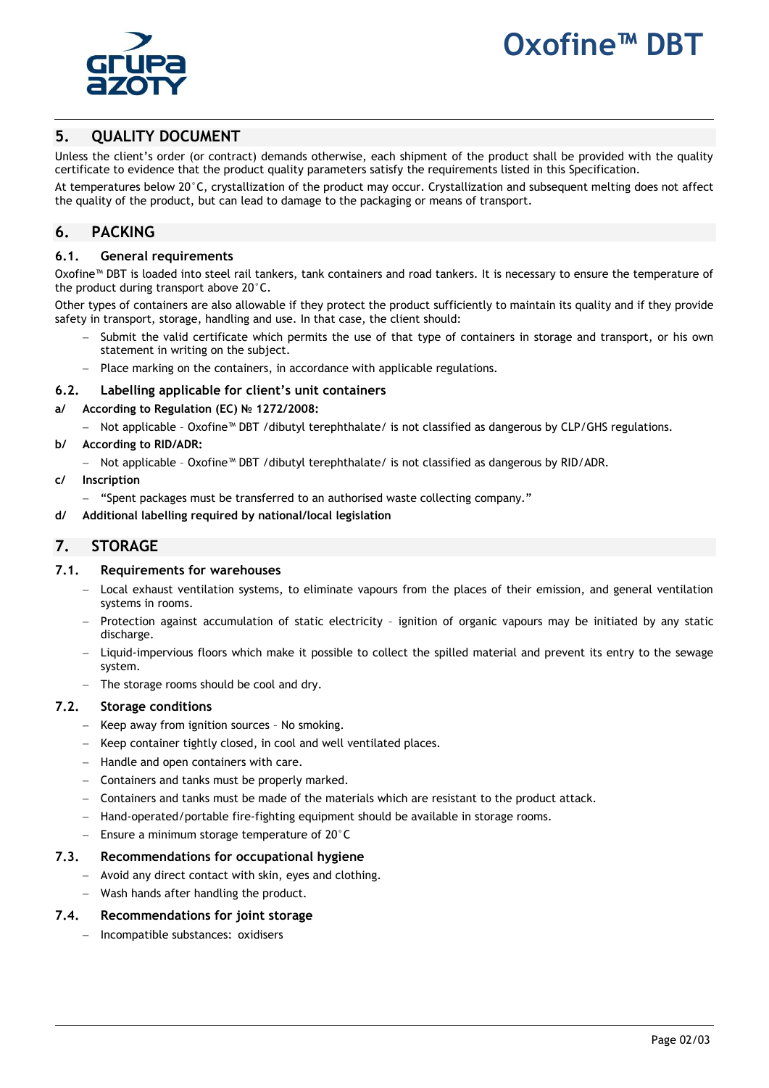# **1. Oxofine™ DBT**



# **5. QUALITY DOCUMENT**

Unless the client's order (or contract) demands otherwise, each shipment of the product shall be provided with the quality certificate to evidence that the product quality parameters satisfy the requirements listed in this Specification.

At temperatures below 20°C, crystallization of the product may occur. Crystallization and subsequent melting does not affect the quality of the product, but can lead to damage to the packaging or means of transport.

### **6. PACKING**

#### **6.1. General requirements**

Oxofine™ DBT is loaded into steel rail tankers, tank containers and road tankers. It is necessary to ensure the temperature of the product during transport above 20°C.

Other types of containers are also allowable if they protect the product sufficiently to maintain its quality and if they provide safety in transport, storage, handling and use. In that case, the client should:

- Submit the valid certificate which permits the use of that type of containers in storage and transport, or his own statement in writing on the subject.
- Place marking on the containers, in accordance with applicable regulations.

#### **6.2. Labelling applicable for client's unit containers**

- **a/ According to Regulation (EC) № 1272/2008:**
	- Not applicable Oxofine™ DBT /dibutyl terephthalate/ is not classified as dangerous by CLP/GHS regulations.
- **b/ According to RID/ADR:**
	- Not applicable Oxofine™ DBT /dibutyl terephthalate/ is not classified as dangerous by RID/ADR.

#### **c/ Inscription**

- "Spent packages must be transferred to an authorised waste collecting company."
- **d/ Additional labelling required by national/local legislation**

#### **7. STORAGE**

#### **7.1. Requirements for warehouses**

- Local exhaust ventilation systems, to eliminate vapours from the places of their emission, and general ventilation systems in rooms.
- Protection against accumulation of static electricity ignition of organic vapours may be initiated by any static discharge.
- Liquid-impervious floors which make it possible to collect the spilled material and prevent its entry to the sewage system.
- The storage rooms should be cool and dry.

#### **7.2. Storage conditions**

- Keep away from ignition sources No smoking.
- Keep container tightly closed, in cool and well ventilated places.
- Handle and open containers with care.
- Containers and tanks must be properly marked.
- Containers and tanks must be made of the materials which are resistant to the product attack.
- Hand-operated/portable fire-fighting equipment should be available in storage rooms.
- $-$  Ensure a minimum storage temperature of 20 $^{\circ}$ C

#### **7.3. Recommendations for occupational hygiene**

- Avoid any direct contact with skin, eyes and clothing.
- Wash hands after handling the product.

#### **7.4. Recommendations for joint storage**

Incompatible substances: oxidisers